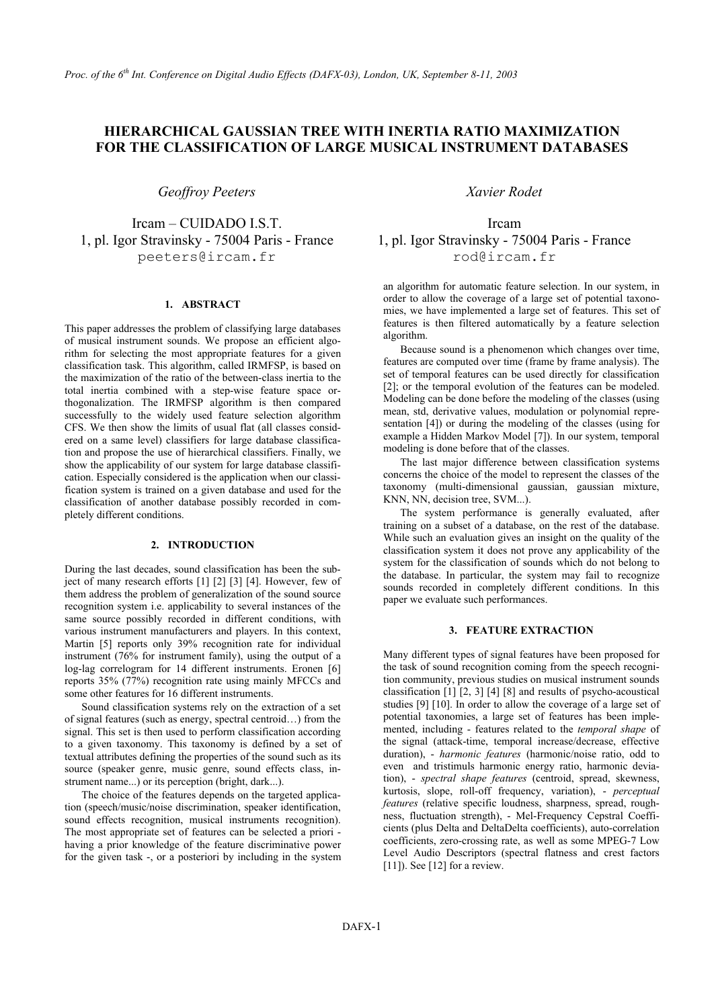# HIERARCHICAL GAUSSIAN TREE WITH INERTIA RATIO MAXIMIZATION **FOR THE CLASSIFICATION OF LARGE MUSICAL INSTRUMENT DATABASES**

**Geoffroy Peeters** 

Ircam - CUIDADO I.S.T. 1, pl. Igor Stravinsky - 75004 Paris - France peeters@ircam.fr

# 1. ABSTRACT

This paper addresses the problem of classifying large databases of musical instrument sounds. We propose an efficient algorithm for selecting the most appropriate features for a given classification task. This algorithm, called IRMFSP, is based on the maximization of the ratio of the between-class inertia to the total inertia combined with a step-wise feature space orthogonalization. The IRMFSP algorithm is then compared successfully to the widely used feature selection algorithm CFS. We then show the limits of usual flat (all classes considered on a same level) classifiers for large database classification and propose the use of hierarchical classifiers. Finally, we show the applicability of our system for large database classification. Especially considered is the application when our classification system is trained on a given database and used for the classification of another database possibly recorded in completely different conditions.

# 2. INTRODUCTION

During the last decades, sound classification has been the subject of many research efforts [1] [2] [3] [4]. However, few of them address the problem of generalization of the sound source recognition system i.e. applicability to several instances of the same source possibly recorded in different conditions, with various instrument manufacturers and players. In this context, Martin [5] reports only 39% recognition rate for individual instrument  $(76\%$  for instrument family), using the output of a log-lag correlogram for 14 different instruments. Eronen [6] reports 35% (77%) recognition rate using mainly MFCCs and some other features for 16 different instruments.

Sound classification systems rely on the extraction of a set of signal features (such as energy, spectral centroid...) from the signal. This set is then used to perform classification according to a given taxonomy. This taxonomy is defined by a set of textual attributes defining the properties of the sound such as its source (speaker genre, music genre, sound effects class, instrument name...) or its perception (bright, dark...).

The choice of the features depends on the targeted application (speech/music/noise discrimination, speaker identification, sound effects recognition, musical instruments recognition). The most appropriate set of features can be selected a priori having a prior knowledge of the feature discriminative power for the given task -, or a posteriori by including in the system Xavier Rodet

Ircam 1, pl. Igor Stravinsky - 75004 Paris - France rod@ircam.fr

an algorithm for automatic feature selection. In our system, in order to allow the coverage of a large set of potential taxonomies, we have implemented a large set of features. This set of features is then filtered automatically by a feature selection algorithm.

Because sound is a phenomenon which changes over time, features are computed over time (frame by frame analysis). The set of temporal features can be used directly for classification [2]; or the temporal evolution of the features can be modeled. Modeling can be done before the modeling of the classes (using mean, std, derivative values, modulation or polynomial representation [4]) or during the modeling of the classes (using for example a Hidden Markov Model [7]). In our system, temporal modeling is done before that of the classes.

The last major difference between classification systems concerns the choice of the model to represent the classes of the taxonomy (multi-dimensional gaussian, gaussian mixture, KNN, NN, decision tree, SVM...).

The system performance is generally evaluated, after training on a subset of a database, on the rest of the database. While such an evaluation gives an insight on the quality of the classification system it does not prove any applicability of the system for the classification of sounds which do not belong to the database. In particular, the system may fail to recognize sounds recorded in completely different conditions. In this paper we evaluate such performances.

# 3. FEATURE EXTRACTION

Many different types of signal features have been proposed for the task of sound recognition coming from the speech recognition community, previous studies on musical instrument sounds classification  $\begin{bmatrix} 1 \end{bmatrix} \begin{bmatrix} 2 \\ 3 \end{bmatrix} \begin{bmatrix} 4 \end{bmatrix} \begin{bmatrix} 8 \end{bmatrix}$  and results of psycho-acoustical studies [9] [10]. In order to allow the coverage of a large set of potential taxonomies, a large set of features has been implemented, including - features related to the temporal shape of the signal (attack-time, temporal increase/decrease, effective duration), - harmonic features (harmonic/noise ratio, odd to even and tristimuls harmonic energy ratio, harmonic deviation), - spectral shape features (centroid, spread, skewness, kurtosis, slope, roll-off frequency, variation), - perceptual features (relative specific loudness, sharpness, spread, roughness, fluctuation strength), - Mel-Frequency Cepstral Coefficients (plus Delta and DeltaDelta coefficients), auto-correlation coefficients, zero-crossing rate, as well as some MPEG-7 Low Level Audio Descriptors (spectral flatness and crest factors  $[11]$ ). See  $[12]$  for a review.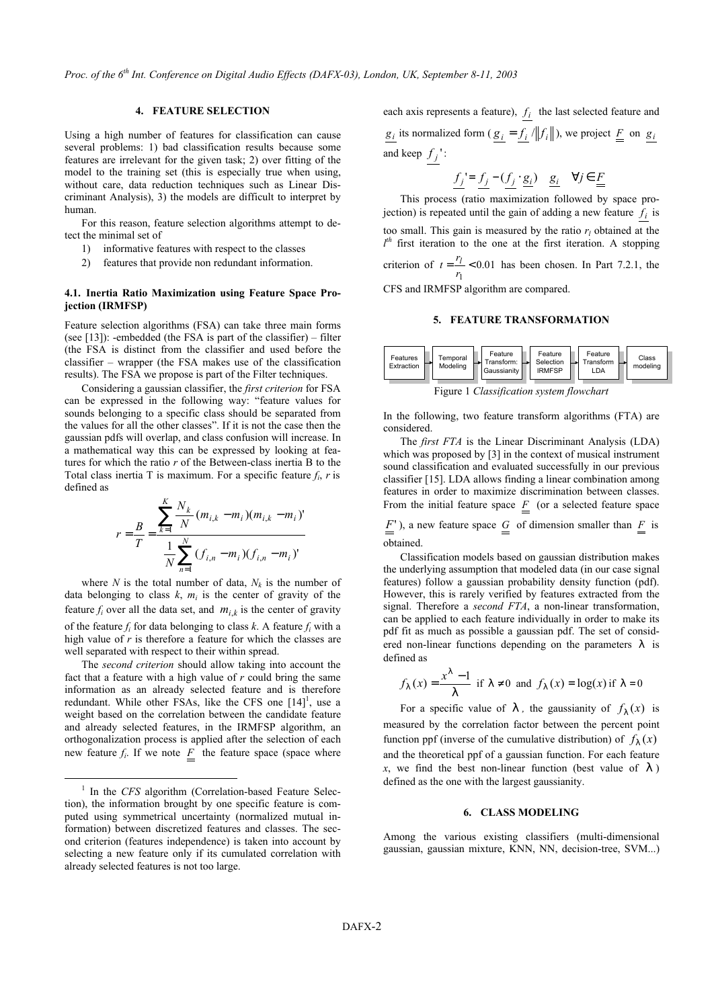# **4. FEATURE SELECTION**

Using a high number of features for classification can cause several problems: 1) bad classification results because some features are irrelevant for the given task; 2) over fitting of the model to the training set (this is especially true when using, without care, data reduction techniques such as Linear Discriminant Analysis), 3) the models are difficult to interpret by human.

For this reason, feature selection algorithms attempt to detect the minimal set of

- informative features with respect to the classes  $\left( \right)$
- $2)$ features that provide non redundant information.

# 4.1. Inertia Ratio Maximization using Feature Space Projection (IRMFSP)

Feature selection algorithms (FSA) can take three main forms (see [13]): -embedded (the FSA is part of the classifier) – filter (the FSA is distinct from the classifier and used before the classifier – wrapper (the FSA makes use of the classification results). The FSA we propose is part of the Filter techniques.

Considering a gaussian classifier, the *first criterion* for FSA can be expressed in the following way: "feature values for sounds belonging to a specific class should be separated from the values for all the other classes". If it is not the case then the gaussian pdfs will overlap, and class confusion will increase. In a mathematical way this can be expressed by looking at features for which the ratio  $r$  of the Between-class inertia B to the Total class inertia T is maximum. For a specific feature  $f_i$ , r is defined as

$$
r = \frac{B}{T} = \frac{\sum_{k=1}^{K} \frac{N_k}{N} (m_{i,k} - m_i)(m_{i,k} - m_i)^t}{\frac{1}{N} \sum_{n=1}^{N} (f_{i,n} - m_i)(f_{i,n} - m_i)^t}
$$

where N is the total number of data,  $N_k$  is the number of data belonging to class  $k$ ,  $m_i$  is the center of gravity of the feature  $f_i$  over all the data set, and  $m_{i,k}$  is the center of gravity of the feature  $f_i$  for data belonging to class k. A feature  $f_i$  with a high value of  $r$  is therefore a feature for which the classes are well separated with respect to their within spread.

The second criterion should allow taking into account the fact that a feature with a high value of  $r$  could bring the same information as an already selected feature and is therefore redundant. While other FSAs, like the CFS one  $[14]$ <sup>1</sup>, use a weight based on the correlation between the candidate feature and already selected features, in the IRMFSP algorithm, an orthogonalization process is applied after the selection of each new feature  $f_i$ . If we note  $\underline{F}$  the feature space (space where

each axis represents a feature),  $f_i$  the last selected feature and  $\underline{g_i}$  its normalized form ( $\underline{g_i} = \underline{f_i} / ||f_i||$ ), we project  $\underline{F}$  on  $\underline{g_i}$ and keep  $f_j$ :

$$
\underline{f_j} = \underline{f_j} - (\underline{f_j} \cdot \underline{g_i}) \quad \underline{g_i} \quad \forall j \in \underline{F}
$$

This process (ratio maximization followed by space projection) is repeated until the gain of adding a new feature  $f_i$  is too small. This gain is measured by the ratio  $r_l$  obtained at the  $l^{th}$  first iteration to the one at the first iteration. A stopping criterion of  $t = \frac{r_l}{r_l} < 0.01$  has been chosen. In Part 7.2.1, the

CFS and IRMFSP algorithm are compared.

# 5. FEATURE TRANSFORMATION



Figure 1 Classification system flowchart

In the following, two feature transform algorithms (FTA) are considered.

The *first FTA* is the Linear Discriminant Analysis (LDA) which was proposed by  $[3]$  in the context of musical instrument sound classification and evaluated successfully in our previous classifier [15]. LDA allows finding a linear combination among features in order to maximize discrimination between classes. From the initial feature space  $\overline{F}$  (or a selected feature space

 $\underline{F}$ ), a new feature space  $\underline{G}$  of dimension smaller than  $\underline{F}$  is obtained

Classification models based on gaussian distribution makes the underlying assumption that modeled data (in our case signal features) follow a gaussian probability density function (pdf). However, this is rarely verified by features extracted from the signal. Therefore a *second FTA*, a non-linear transformation, can be applied to each feature individually in order to make its pdf fit as much as possible a gaussian pdf. The set of considered non-linear functions depending on the parameters 1 is defined as

$$
f_1(x) = \frac{x^1 - 1}{1}
$$
 if  $1 \neq 0$  and  $f_1(x) = \log(x)$  if  $1 = 0$ 

For a specific value of  $\perp$ , the gaussianity of  $f_1(x)$  is measured by the correlation factor between the percent point function ppf (inverse of the cumulative distribution) of  $f_1(x)$ and the theoretical ppf of a gaussian function. For each feature x, we find the best non-linear function (best value of  $\vert \cdot \vert$ ) defined as the one with the largest gaussianity.

#### 6. CLASS MODELING

Among the various existing classifiers (multi-dimensional gaussian, gaussian mixture, KNN, NN, decision-tree, SVM...)

<sup>&</sup>lt;sup>1</sup> In the CFS algorithm (Correlation-based Feature Selection), the information brought by one specific feature is computed using symmetrical uncertainty (normalized mutual information) between discretized features and classes. The second criterion (features independence) is taken into account by selecting a new feature only if its cumulated correlation with already selected features is not too large.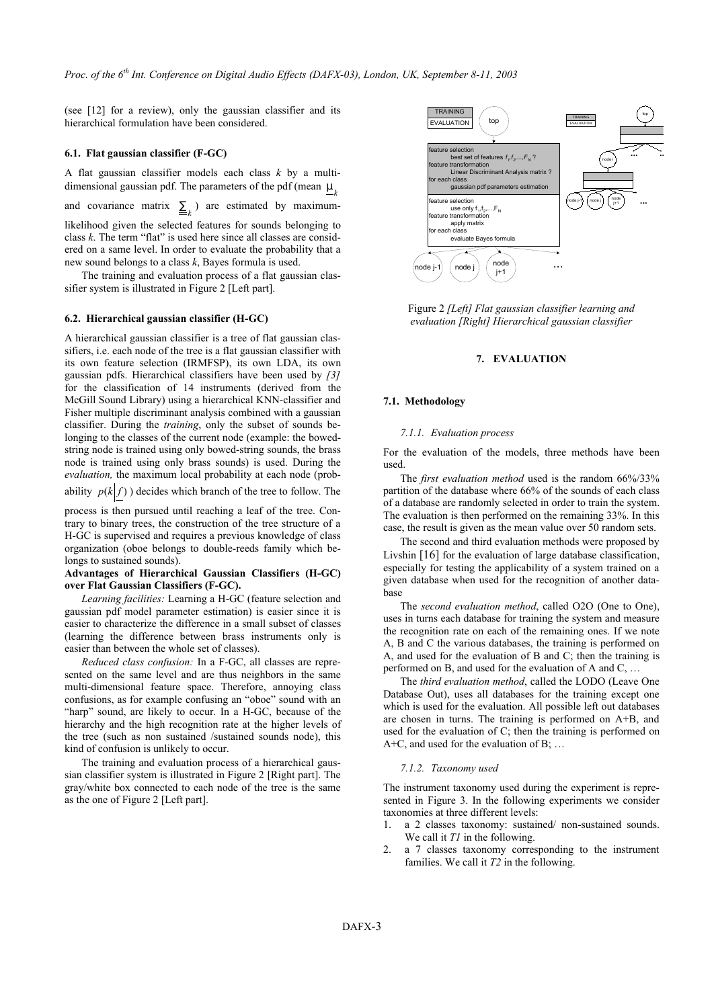(see [12] for a review), only the gaussian classifier and its hierarchical formulation have been considered.

### 6.1. Flat gaussian classifier (F-GC)

A flat gaussian classifier models each class  $k$  by a multidimensional gaussian pdf. The parameters of the pdf (mean  $m<sub>k</sub>$ 

and covariance matrix  $\sum_{k=1}^{n}$  are estimated by maximum-

likelihood given the selected features for sounds belonging to class  $k$ . The term "flat" is used here since all classes are considered on a same level. In order to evaluate the probability that a new sound belongs to a class  $k$ , Bayes formula is used.

The training and evaluation process of a flat gaussian classifier system is illustrated in Figure 2 [Left part].

# 6.2. Hierarchical gaussian classifier (H-GC)

A hierarchical gaussian classifier is a tree of flat gaussian classifiers, i.e. each node of the tree is a flat gaussian classifier with its own feature selection (IRMFSP), its own LDA, its own gaussian pdfs. Hierarchical classifiers have been used by [3] for the classification of 14 instruments (derived from the McGill Sound Library) using a hierarchical KNN-classifier and Fisher multiple discriminant analysis combined with a gaussian classifier. During the *training*, only the subset of sounds belonging to the classes of the current node (example: the bowedstring node is trained using only bowed-string sounds, the brass node is trained using only brass sounds) is used. During the evaluation, the maximum local probability at each node (prob-

ability  $p(k|f)$ ) decides which branch of the tree to follow. The

process is then pursued until reaching a leaf of the tree. Contrary to binary trees, the construction of the tree structure of a H-GC is supervised and requires a previous knowledge of class organization (oboe belongs to double-reeds family which belongs to sustained sounds).

### Advantages of Hierarchical Gaussian Classifiers (H-GC) over Flat Gaussian Classifiers (F-GC).

Learning facilities: Learning a H-GC (feature selection and gaussian pdf model parameter estimation) is easier since it is easier to characterize the difference in a small subset of classes (learning the difference between brass instruments only is easier than between the whole set of classes).

Reduced class confusion: In a F-GC, all classes are represented on the same level and are thus neighbors in the same multi-dimensional feature space. Therefore, annoying class confusions, as for example confusing an "oboe" sound with an "harp" sound, are likely to occur. In a H-GC, because of the hierarchy and the high recognition rate at the higher levels of the tree (such as non sustained /sustained sounds node), this kind of confusion is unlikely to occur.

The training and evaluation process of a hierarchical gaussian classifier system is illustrated in Figure 2 [Right part]. The gray/white box connected to each node of the tree is the same as the one of Figure 2 [Left part].



Figure 2 [Left] Flat gaussian classifier learning and evaluation [Right] Hierarchical gaussian classifier

### 7. EVALUATION

#### 7.1. Methodology

#### 7.1.1. Evaluation process

For the evaluation of the models, three methods have been used

The first evaluation method used is the random 66%/33% partition of the database where 66% of the sounds of each class of a database are randomly selected in order to train the system. The evaluation is then performed on the remaining 33%. In this case, the result is given as the mean value over 50 random sets.

The second and third evaluation methods were proposed by Livshin  $[16]$  for the evaluation of large database classification, especially for testing the applicability of a system trained on a given database when used for the recognition of another datahase

The second evaluation method, called O2O (One to One), uses in turns each database for training the system and measure the recognition rate on each of the remaining ones. If we note A, B and C the various databases, the training is performed on A, and used for the evaluation of B and C; then the training is performed on B, and used for the evaluation of A and C, ...

The third evaluation method, called the LODO (Leave One Database Out), uses all databases for the training except one which is used for the evaluation. All possible left out databases are chosen in turns. The training is performed on A+B, and used for the evaluation of C; then the training is performed on  $A+C$ , and used for the evaluation of B; ...

#### 7.1.2. Taxonomy used

The instrument taxonomy used during the experiment is represented in Figure 3. In the following experiments we consider taxonomies at three different levels:

- $\mathbf{1}$ . a 2 classes taxonomy: sustained/non-sustained sounds. We call it  $TI$  in the following.
- $\mathfrak{D}$ a 7 classes taxonomy corresponding to the instrument families. We call it  $T2$  in the following.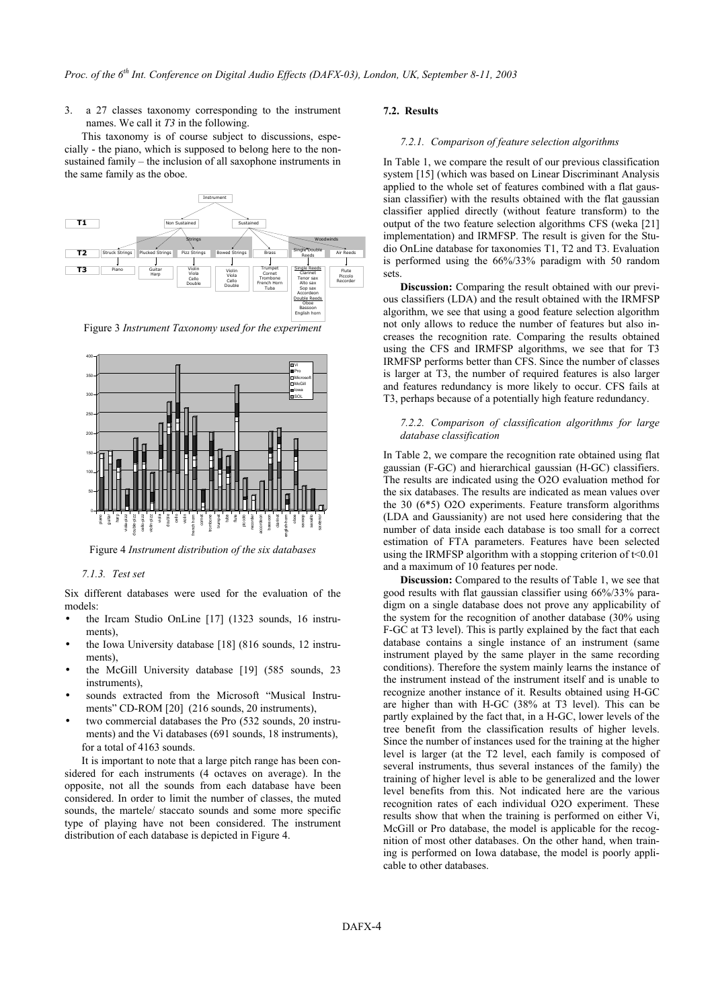a 27 classes taxonomy corresponding to the instrument  $3<sub>1</sub>$ names. We call it  $T3$  in the following.

This taxonomy is of course subject to discussions, especially - the piano, which is supposed to belong here to the nonsustained family - the inclusion of all saxophone instruments in the same family as the oboe.



Figure 3 Instrument Taxonomy used for the experiment



Figure 4 Instrument distribution of the six databases

# 7.1.3. Test set

Six different databases were used for the evaluation of the models<sup>-</sup>

- the Ircam Studio OnLine [17] (1323 sounds, 16 instruments),
- the Iowa University database [18] (816 sounds, 12 instruments),
- the McGill University database [19] (585 sounds, 23 instruments)
- sounds extracted from the Microsoft "Musical Instruments" CD-ROM [20] (216 sounds, 20 instruments),
- two commercial databases the Pro (532 sounds, 20 instruments) and the Vi databases (691 sounds, 18 instruments), for a total of 4163 sounds.

It is important to note that a large pitch range has been considered for each instruments (4 octaves on average). In the opposite, not all the sounds from each database have been considered. In order to limit the number of classes, the muted sounds, the martele/ staccato sounds and some more specific type of playing have not been considered. The instrument distribution of each database is depicted in Figure 4.

# 7.2. Results

### 7.2.1. Comparison of feature selection algorithms

In Table 1, we compare the result of our previous classification system [15] (which was based on Linear Discriminant Analysis applied to the whole set of features combined with a flat gaussian classifier) with the results obtained with the flat gaussian classifier applied directly (without feature transform) to the output of the two feature selection algorithms CFS (weka [21] implementation) and IRMFSP. The result is given for the Studio OnLine database for taxonomies T1, T2 and T3. Evaluation is performed using the 66%/33% paradigm with 50 random sets.

Discussion: Comparing the result obtained with our previous classifiers (LDA) and the result obtained with the IRMFSP algorithm, we see that using a good feature selection algorithm not only allows to reduce the number of features but also increases the recognition rate. Comparing the results obtained using the CFS and IRMFSP algorithms, we see that for T3 IRMFSP performs better than CFS. Since the number of classes is larger at T3, the number of required features is also larger and features redundancy is more likely to occur. CFS fails at T3, perhaps because of a potentially high feature redundancy.

# 7.2.2. Comparison of classification algorithms for large database classification

In Table 2, we compare the recognition rate obtained using flat gaussian (F-GC) and hierarchical gaussian (H-GC) classifiers. The results are indicated using the O2O evaluation method for the six databases. The results are indicated as mean values over the 30  $(6*5)$  O2O experiments. Feature transform algorithms (LDA and Gaussianity) are not used here considering that the number of data inside each database is too small for a correct estimation of FTA parameters. Features have been selected using the IRMFSP algorithm with a stopping criterion of  $t<0.01$ and a maximum of 10 features per node.

**Discussion:** Compared to the results of Table 1, we see that good results with flat gaussian classifier using 66%/33% paradigm on a single database does not prove any applicability of the system for the recognition of another database (30% using F-GC at T3 level). This is partly explained by the fact that each database contains a single instance of an instrument (same instrument played by the same player in the same recording conditions). Therefore the system mainly learns the instance of the instrument instead of the instrument itself and is unable to recognize another instance of it. Results obtained using H-GC are higher than with H-GC (38% at T3 level). This can be partly explained by the fact that, in a H-GC, lower levels of the tree benefit from the classification results of higher levels. Since the number of instances used for the training at the higher level is larger (at the T2 level, each family is composed of several instruments, thus several instances of the family) the training of higher level is able to be generalized and the lower level benefits from this. Not indicated here are the various recognition rates of each individual O2O experiment. These results show that when the training is performed on either Vi, McGill or Pro database, the model is applicable for the recognition of most other databases. On the other hand, when training is performed on Iowa database, the model is poorly applicable to other databases.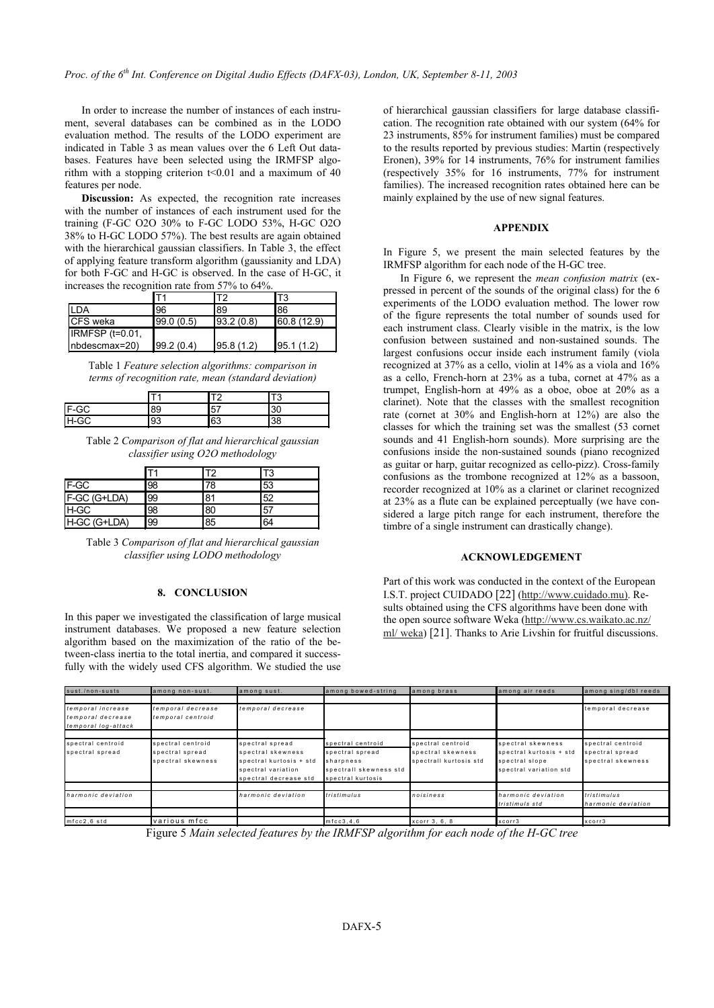In order to increase the number of instances of each instrument, several databases can be combined as in the LODO evaluation method. The results of the LODO experiment are indicated in Table 3 as mean values over the 6 Left Out databases. Features have been selected using the IRMFSP algorithm with a stopping criterion  $t<0.01$  and a maximum of 40 features per node.

**Discussion:** As expected, the recognition rate increases with the number of instances of each instrument used for the training (F-GC O2O 30% to F-GC LODO 53%, H-GC O2O 38% to H-GC LODO 57%). The best results are again obtained with the hierarchical gaussian classifiers. In Table 3, the effect of applying feature transform algorithm (gaussianity and LDA) for both F-GC and H-GC is observed. In the case of H-GC, it increases the recognition rate from 57% to 64%.

|                   |            |            | T3          |  |  |  |  |
|-------------------|------------|------------|-------------|--|--|--|--|
| I DA              | 96         | 89         | 186         |  |  |  |  |
| <b>ICFS</b> weka  | 99.0 (0.5) | 93.2(0.8)  | 60.8 (12.9) |  |  |  |  |
| IRMFSP $(t=0.01)$ |            |            |             |  |  |  |  |
| $nbdescmax=20$    | 99.2(0.4)  | 95.8 (1.2) | 195.1(1.2)  |  |  |  |  |

Table 1 Feature selection algorithms: comparison in terms of recognition rate, mean (standard deviation)

|              |    |    | ى. |
|--------------|----|----|----|
| <b>IF-GC</b> | 89 | 57 | 30 |
| <b>IH-GC</b> | 93 | 63 | 38 |

Table 2 Comparison of flat and hierarchical gaussian classifier using O2O methodology

|              |    |     | T3  |  |
|--------------|----|-----|-----|--|
| <b>IF-GC</b> | 98 | 78  | 53  |  |
| F-GC (G+LDA) | 99 | 81  | 52  |  |
| H-GC         | 98 | 80  | .57 |  |
| H-GC (G+LDA) | 99 | 185 | 64  |  |

Table 3 Comparison of flat and hierarchical gaussian classifier using LODO methodology

# 8. CONCLUSION

In this paper we investigated the classification of large musical instrument databases. We proposed a new feature selection algorithm based on the maximization of the ratio of the between-class inertia to the total inertia, and compared it successfully with the widely used CFS algorithm. We studied the use of hierarchical gaussian classifiers for large database classification. The recognition rate obtained with our system (64% for 23 instruments, 85% for instrument families) must be compared to the results reported by previous studies: Martin (respectively Eronen), 39% for 14 instruments, 76% for instrument families (respectively 35% for 16 instruments, 77% for instrument families). The increased recognition rates obtained here can be mainly explained by the use of new signal features.

# **APPENDIX**

In Figure 5, we present the main selected features by the IRMFSP algorithm for each node of the H-GC tree.

In Figure 6, we represent the *mean confusion matrix* (expressed in percent of the sounds of the original class) for the 6 experiments of the LODO evaluation method. The lower row of the figure represents the total number of sounds used for each instrument class. Clearly visible in the matrix, is the low confusion between sustained and non-sustained sounds. The largest confusions occur inside each instrument family (viola recognized at 37% as a cello, violin at 14% as a viola and 16% as a cello, French-horn at 23% as a tuba, cornet at 47% as a trumpet, English-horn at 49% as a oboe, oboe at 20% as a clarinet). Note that the classes with the smallest recognition rate (cornet at 30% and English-horn at 12%) are also the classes for which the training set was the smallest (53 cornet sounds and 41 English-horn sounds). More surprising are the confusions inside the non-sustained sounds (piano recognized as guitar or harp, guitar recognized as cello-pizz). Cross-family confusions as the trombone recognized at 12% as a bassoon, recorder recognized at 10% as a clarinet or clarinet recognized at 23% as a flute can be explained perceptually (we have considered a large pitch range for each instrument, therefore the timbre of a single instrument can drastically change).

### **ACKNOWLEDGEMENT**

Part of this work was conducted in the context of the European I.S.T. project CUIDADO [22] (http://www.cuidado.mu). Results obtained using the CFS algorithms have been done with the open source software Weka (http://www.cs.waikato.ac.nz/  $ml/weka$ ) [21]. Thanks to Arie Livshin for fruitful discussions.

| sust./non-susts                                               | among non-sust.                                           | among sust.                                                                                                    | among bowed-string                                                                               | among brass                                                      | among air reeds                                                                          | among sing/dbl reeds                                      |
|---------------------------------------------------------------|-----------------------------------------------------------|----------------------------------------------------------------------------------------------------------------|--------------------------------------------------------------------------------------------------|------------------------------------------------------------------|------------------------------------------------------------------------------------------|-----------------------------------------------------------|
|                                                               |                                                           |                                                                                                                |                                                                                                  |                                                                  |                                                                                          |                                                           |
| temporal increase<br>temporal decrease<br>temporal log-attack | temporal decrease<br>temporal centroid                    | temporal decrease                                                                                              |                                                                                                  |                                                                  |                                                                                          | temporal decrease                                         |
|                                                               |                                                           |                                                                                                                |                                                                                                  |                                                                  |                                                                                          |                                                           |
| spectral centroid<br>spectral spread                          | spectral centroid<br>spectral spread<br>spectral skewness | spectral spread<br>spectral skewness<br>spectral kurtosis + std<br>spectral variation<br>spectral decrease std | spectral centroid<br>spectral spread<br>sharpness<br>spectrall skewness std<br>spectral kurtosis | spectral centroid<br>spectral skewness<br>spectrall kurtosis std | spectral skewness<br>spectral kurtosis + std<br>spectral slope<br>spectral variation std | spectral centroid<br>spectral spread<br>spectral skewness |
|                                                               |                                                           |                                                                                                                |                                                                                                  |                                                                  |                                                                                          |                                                           |
| harmonic deviation                                            |                                                           | harmonic deviation                                                                                             | tristimulus                                                                                      | noisiness                                                        | harmonic deviation<br>tristimuls std                                                     | tristimulus<br>harmonic deviation                         |
|                                                               |                                                           |                                                                                                                |                                                                                                  |                                                                  |                                                                                          |                                                           |
| mfcc2.6 std                                                   | various mfcc                                              |                                                                                                                | $m$ fcc $3, 4, 6$                                                                                | xcorr 3, 6, 8                                                    | xcorr3                                                                                   | xcorr3                                                    |

Figure 5 Main selected features by the IRMFSP algorithm for each node of the H-GC tree